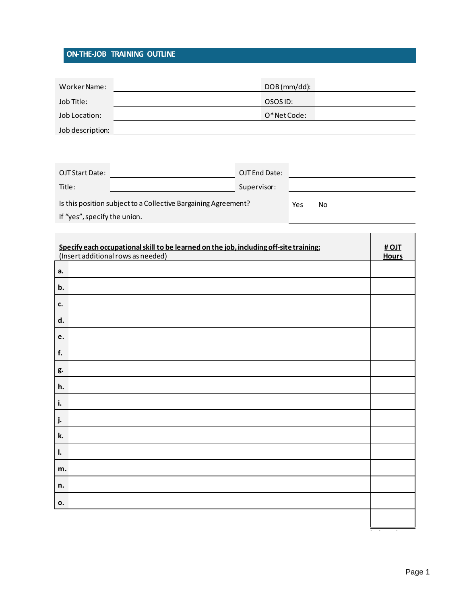## ON-THE-JOB TRAINING OUTLINE

| Worker Name:                                                   |            |               | DOB (mm/dd): |  |
|----------------------------------------------------------------|------------|---------------|--------------|--|
| Job Title:                                                     | OSOS ID:   |               |              |  |
| Job Location:                                                  | O*NetCode: |               |              |  |
| Job description:                                               |            |               |              |  |
|                                                                |            |               |              |  |
|                                                                |            |               |              |  |
| OJT Start Date:                                                |            | OJT End Date: |              |  |
| Title:                                                         |            | Supervisor:   |              |  |
| Is this position subject to a Collective Bargaining Agreement? |            |               | Yes<br>No l  |  |

If "yes", specify the union.

| Specify each occupational skill to be learned on the job, including off-site training: |              |  |
|----------------------------------------------------------------------------------------|--------------|--|
| (Insert additional rows as needed)                                                     | <b>Hours</b> |  |
| a.                                                                                     |              |  |
| b.                                                                                     |              |  |
| <b>c.</b>                                                                              |              |  |
| d.                                                                                     |              |  |
| e.                                                                                     |              |  |
| f.                                                                                     |              |  |
| g.                                                                                     |              |  |
| h.                                                                                     |              |  |
| i.                                                                                     |              |  |
| j.                                                                                     |              |  |
| k.                                                                                     |              |  |
| $\mathbf{l}$ .                                                                         |              |  |
| m.                                                                                     |              |  |
| n.                                                                                     |              |  |
| 0.                                                                                     |              |  |
|                                                                                        |              |  |